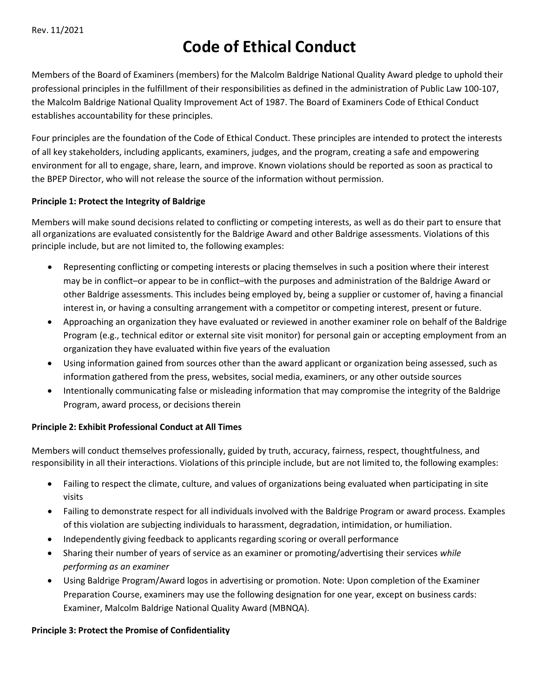# **Code of Ethical Conduct**

Members of the Board of Examiners (members) for the Malcolm Baldrige National Quality Award pledge to uphold their professional principles in the fulfillment of their responsibilities as defined in the administration of Public Law 100-107, the Malcolm Baldrige National Quality Improvement Act of 1987. The Board of Examiners Code of Ethical Conduct establishes accountability for these principles.

Four principles are the foundation of the Code of Ethical Conduct. These principles are intended to protect the interests of all key stakeholders, including applicants, examiners, judges, and the program, creating a safe and empowering environment for all to engage, share, learn, and improve. Known violations should be reported as soon as practical to the BPEP Director, who will not release the source of the information without permission.

#### **Principle 1: Protect the Integrity of Baldrige**

Members will make sound decisions related to conflicting or competing interests, as well as do their part to ensure that all organizations are evaluated consistently for the Baldrige Award and other Baldrige assessments. Violations of this principle include, but are not limited to, the following examples:

- Representing conflicting or competing interests or placing themselves in such a position where their interest may be in conflict–or appear to be in conflict–with the purposes and administration of the Baldrige Award or other Baldrige assessments. This includes being employed by, being a supplier or customer of, having a financial interest in, or having a consulting arrangement with a competitor or competing interest, present or future.
- Approaching an organization they have evaluated or reviewed in another examiner role on behalf of the Baldrige Program (e.g., technical editor or external site visit monitor) for personal gain or accepting employment from an organization they have evaluated within five years of the evaluation
- Using information gained from sources other than the award applicant or organization being assessed, such as information gathered from the press, websites, social media, examiners, or any other outside sources
- Intentionally communicating false or misleading information that may compromise the integrity of the Baldrige Program, award process, or decisions therein

### **Principle 2: Exhibit Professional Conduct at All Times**

Members will conduct themselves professionally, guided by truth, accuracy, fairness, respect, thoughtfulness, and responsibility in all their interactions. Violations of this principle include, but are not limited to, the following examples:

- Failing to respect the climate, culture, and values of organizations being evaluated when participating in site visits
- Failing to demonstrate respect for all individuals involved with the Baldrige Program or award process. Examples of this violation are subjecting individuals to harassment, degradation, intimidation, or humiliation.
- Independently giving feedback to applicants regarding scoring or overall performance
- Sharing their number of years of service as an examiner or promoting/advertising their services *while performing as an examiner*
- Using Baldrige Program/Award logos in advertising or promotion. Note: Upon completion of the Examiner Preparation Course, examiners may use the following designation for one year, except on business cards: Examiner, Malcolm Baldrige National Quality Award (MBNQA).

### **Principle 3: Protect the Promise of Confidentiality**